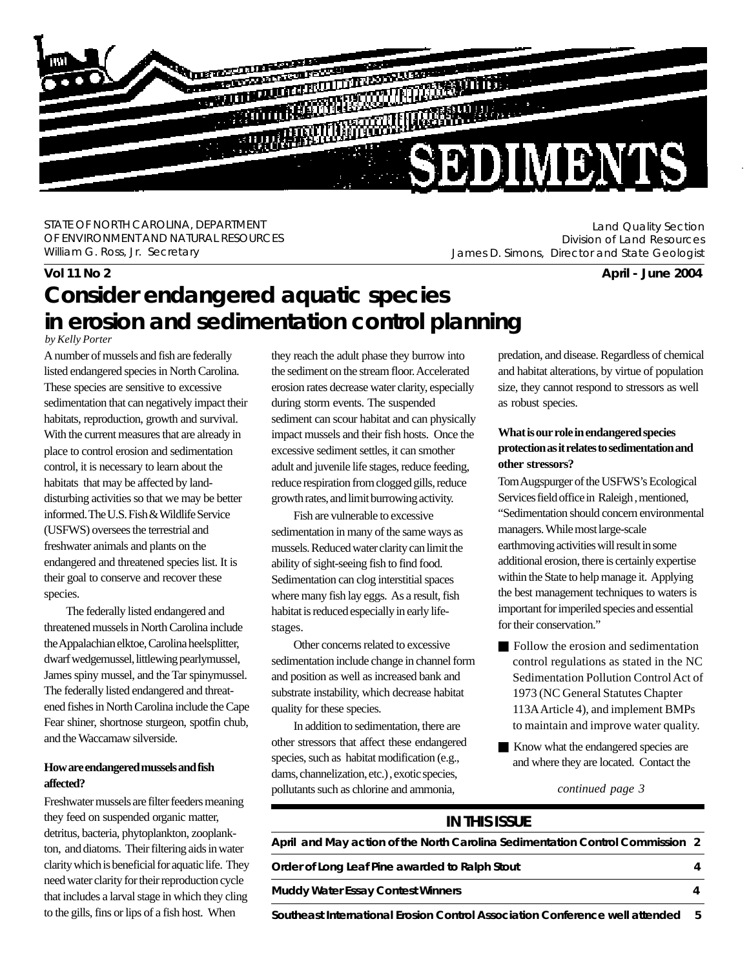

STATE OF NORTH CAROLINA, DEPARTMENT OF ENVIRONMENT AND NATURAL RESOURCES William G. Ross, Jr. Secretary

Land Quality Section Division of Land Resources James D. Simons, Director and State Geologist

**Vol 11 No 2 April - June 2004**

# **Consider endangered aquatic species in erosion and sedimentation control planning**

*by Kelly Porter*

A number of mussels and fish are federally listed endangered species in North Carolina. These species are sensitive to excessive sedimentation that can negatively impact their habitats, reproduction, growth and survival. With the current measures that are already in place to control erosion and sedimentation control, it is necessary to learn about the habitats that may be affected by landdisturbing activities so that we may be better informed. The U.S. Fish & Wildlife Service (USFWS) oversees the terrestrial and freshwater animals and plants on the endangered and threatened species list. It is their goal to conserve and recover these species.

The federally listed endangered and threatened mussels in North Carolina include the Appalachian elktoe, Carolina heelsplitter, dwarf wedgemussel, littlewing pearlymussel, James spiny mussel, and the Tar spinymussel. The federally listed endangered and threatened fishes in North Carolina include the Cape Fear shiner, shortnose sturgeon, spotfin chub, and the Waccamaw silverside.

#### **How are endangered mussels and fish affected?**

Freshwater mussels are filter feeders meaning they feed on suspended organic matter, detritus, bacteria, phytoplankton, zooplankton, and diatoms. Their filtering aids in water clarity which is beneficial for aquatic life. They need water clarity for their reproduction cycle that includes a larval stage in which they cling to the gills, fins or lips of a fish host. When

they reach the adult phase they burrow into the sediment on the stream floor. Accelerated erosion rates decrease water clarity, especially during storm events. The suspended sediment can scour habitat and can physically impact mussels and their fish hosts. Once the excessive sediment settles, it can smother adult and juvenile life stages, reduce feeding, reduce respiration from clogged gills, reduce growth rates, and limit burrowing activity.

Fish are vulnerable to excessive sedimentation in many of the same ways as mussels. Reduced water clarity can limit the ability of sight-seeing fish to find food. Sedimentation can clog interstitial spaces where many fish lay eggs. As a result, fish habitat is reduced especially in early lifestages.

Other concerns related to excessive sedimentation include change in channel form and position as well as increased bank and substrate instability, which decrease habitat quality for these species.

In addition to sedimentation, there are other stressors that affect these endangered species, such as habitat modification (e.g., dams, channelization, etc.) , exotic species, pollutants such as chlorine and ammonia,

predation, and disease. Regardless of chemical and habitat alterations, by virtue of population size, they cannot respond to stressors as well as robust species.

#### **What is our role in endangered species protection as it relates to sedimentation and other stressors?**

Tom Augspurger of the USFWS's Ecological Services field office in Raleigh , mentioned, "Sedimentation should concern environmental managers. While most large-scale earthmoving activities will result in some additional erosion, there is certainly expertise within the State to help manage it. Applying the best management techniques to waters is important for imperiled species and essential for their conservation."

- Q Follow the erosion and sedimentation control regulations as stated in the NC Sedimentation Pollution Control Act of 1973 (NC General Statutes Chapter 113A Article 4), and implement BMPs to maintain and improve water quality.
- Know what the endangered species are and where they are located. Contact the

*continued page 3*

| <b>IN THIS ISSUE</b>                                                          |  |
|-------------------------------------------------------------------------------|--|
| April and May action of the North Carolina Sedimentation Control Commission 2 |  |
| Order of Long Leaf Pine awarded to Ralph Stout                                |  |
| <b>Muddy Water Essay Contest Winners</b>                                      |  |
|                                                                               |  |

**Southeast International Erosion Control Association Conference well attended 5**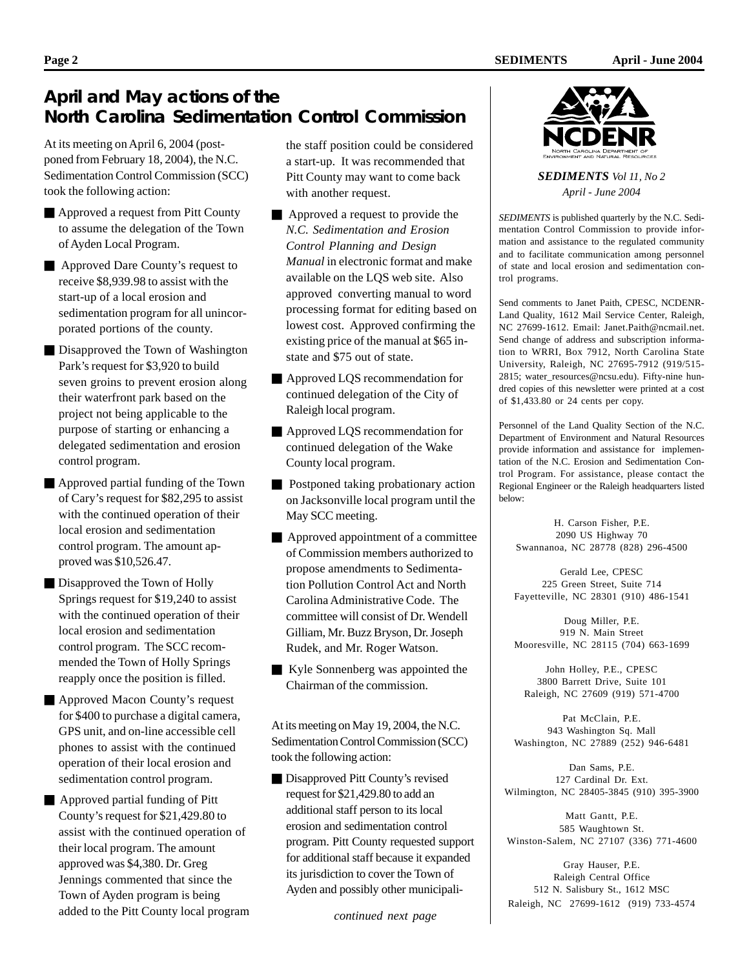### **April and May actions of the North Carolina Sedimentation Control Commission**

At its meeting on April 6, 2004 (postponed from February 18, 2004), the N.C. Sedimentation Control Commission (SCC) took the following action:

- **Exercise Approved a request from Pitt County** to assume the delegation of the Town of Ayden Local Program.
- Approved Dare County's request to receive \$8,939.98 to assist with the start-up of a local erosion and sedimentation program for all unincorporated portions of the county.
- Disapproved the Town of Washington Park's request for \$3,920 to build seven groins to prevent erosion along their waterfront park based on the project not being applicable to the purpose of starting or enhancing a delegated sedimentation and erosion control program.
- Approved partial funding of the Town of Cary's request for \$82,295 to assist with the continued operation of their local erosion and sedimentation control program. The amount approved was \$10,526.47.
- Disapproved the Town of Holly Springs request for \$19,240 to assist with the continued operation of their local erosion and sedimentation control program. The SCC recommended the Town of Holly Springs reapply once the position is filled.
- Approved Macon County's request for \$400 to purchase a digital camera, GPS unit, and on-line accessible cell phones to assist with the continued operation of their local erosion and sedimentation control program.
- $\blacksquare$  Approved partial funding of Pitt County's request for \$21,429.80 to assist with the continued operation of their local program. The amount approved was \$4,380. Dr. Greg Jennings commented that since the Town of Ayden program is being added to the Pitt County local program

the staff position could be considered a start-up. It was recommended that Pitt County may want to come back with another request.

- Approved a request to provide the *N.C. Sedimentation and Erosion Control Planning and Design Manual* in electronic format and make available on the LQS web site. Also approved converting manual to word processing format for editing based on lowest cost. Approved confirming the existing price of the manual at \$65 instate and \$75 out of state.
- Approved LOS recommendation for continued delegation of the City of Raleigh local program.
- Approved LQS recommendation for continued delegation of the Wake County local program.
- **Postponed taking probationary action** on Jacksonville local program until the May SCC meeting.
- $\blacksquare$  Approved appointment of a committee of Commission members authorized to propose amendments to Sedimentation Pollution Control Act and North Carolina Administrative Code. The committee will consist of Dr. Wendell Gilliam, Mr. Buzz Bryson, Dr. Joseph Rudek, and Mr. Roger Watson.
- Kyle Sonnenberg was appointed the Chairman of the commission.

At its meeting on May 19, 2004, the N.C. Sedimentation Control Commission (SCC) took the following action:

Disapproved Pitt County's revised request for \$21,429.80 to add an additional staff person to its local erosion and sedimentation control program. Pitt County requested support for additional staff because it expanded its jurisdiction to cover the Town of Ayden and possibly other municipali-

*continued next page*



*SEDIMENTS Vol 11, No 2 April - June 2004*

*SEDIMENTS* is published quarterly by the N.C. Sedimentation Control Commission to provide information and assistance to the regulated community and to facilitate communication among personnel of state and local erosion and sedimentation control programs.

Send comments to Janet Paith, CPESC, NCDENR-Land Quality, 1612 Mail Service Center, Raleigh, NC 27699-1612. Email: Janet.Paith@ncmail.net. Send change of address and subscription information to WRRI, Box 7912, North Carolina State University, Raleigh, NC 27695-7912 (919/515- 2815; water\_resources@ncsu.edu). Fifty-nine hundred copies of this newsletter were printed at a cost of \$1,433.80 or 24 cents per copy.

Personnel of the Land Quality Section of the N.C. Department of Environment and Natural Resources provide information and assistance for implementation of the N.C. Erosion and Sedimentation Control Program. For assistance, please contact the Regional Engineer or the Raleigh headquarters listed below:

H. Carson Fisher, P.E. 2090 US Highway 70 Swannanoa, NC 28778 (828) 296-4500

Gerald Lee, CPESC 225 Green Street, Suite 714 Fayetteville, NC 28301 (910) 486-1541

Doug Miller, P.E. 919 N. Main Street Mooresville, NC 28115 (704) 663-1699

John Holley, P.E., CPESC 3800 Barrett Drive, Suite 101 Raleigh, NC 27609 (919) 571-4700

Pat McClain, P.E. 943 Washington Sq. Mall Washington, NC 27889 (252) 946-6481

Dan Sams, P.E. 127 Cardinal Dr. Ext. Wilmington, NC 28405-3845 (910) 395-3900

Matt Gantt, P.E. 585 Waughtown St. Winston-Salem, NC 27107 (336) 771-4600

Gray Hauser, P.E. Raleigh Central Office 512 N. Salisbury St., 1612 MSC Raleigh, NC 27699-1612 (919) 733-4574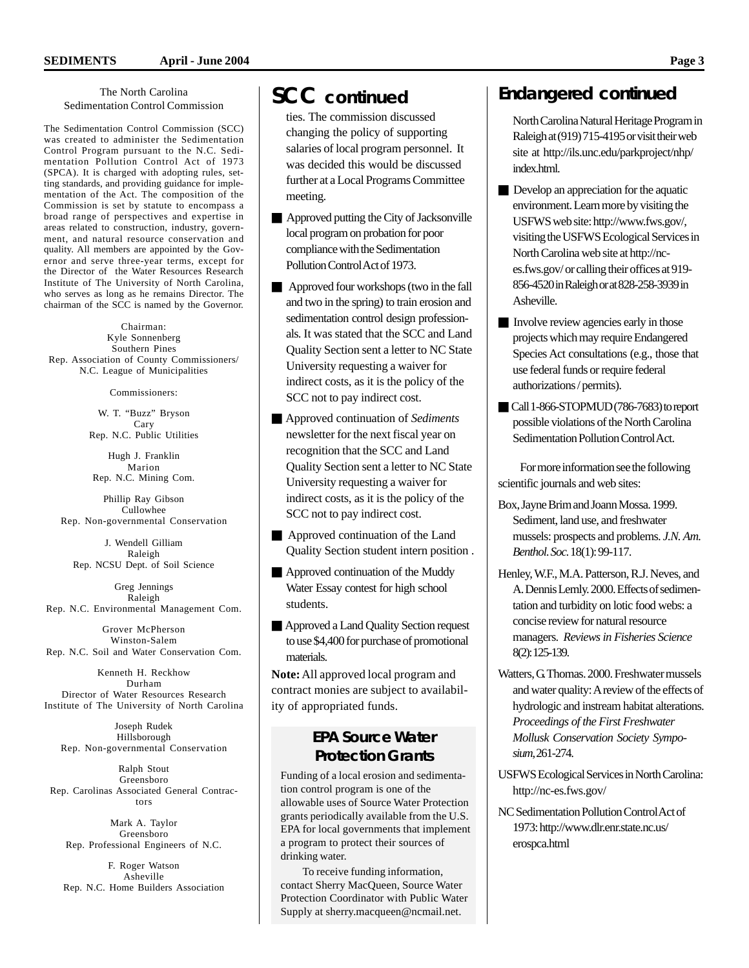#### The North Carolina Sedimentation Control Commission

The Sedimentation Control Commission (SCC) was created to administer the Sedimentation Control Program pursuant to the N.C. Sedimentation Pollution Control Act of 1973 (SPCA). It is charged with adopting rules, setting standards, and providing guidance for implementation of the Act. The composition of the Commission is set by statute to encompass a broad range of perspectives and expertise in areas related to construction, industry, government, and natural resource conservation and quality. All members are appointed by the Governor and serve three-year terms, except for the Director of the Water Resources Research Institute of The University of North Carolina, who serves as long as he remains Director. The chairman of the SCC is named by the Governor.

Chairman: Kyle Sonnenberg Southern Pines Rep. Association of County Commissioners/ N.C. League of Municipalities

Commissioners:

W. T. "Buzz" Bryson Cary Rep. N.C. Public Utilities

Hugh J. Franklin Marion Rep. N.C. Mining Com.

Phillip Ray Gibson Cullowhee Rep. Non-governmental Conservation

J. Wendell Gilliam Raleigh Rep. NCSU Dept. of Soil Science

Greg Jennings Raleigh Rep. N.C. Environmental Management Com.

Grover McPherson Winston-Salem Rep. N.C. Soil and Water Conservation Com.

Kenneth H. Reckhow Durham Director of Water Resources Research Institute of The University of North Carolina

Joseph Rudek Hillsborough Rep. Non-governmental Conservation

Ralph Stout Greensboro Rep. Carolinas Associated General Contractors

Mark A. Taylor Greensboro Rep. Professional Engineers of N.C.

F. Roger Watson Asheville Rep. N.C. Home Builders Association

ties. The commission discussed changing the policy of supporting salaries of local program personnel. It was decided this would be discussed further at a Local Programs Committee meeting.

- $\blacksquare$  Approved putting the City of Jacksonville local program on probation for poor compliance with the Sedimentation Pollution Control Act of 1973.
- $\blacksquare$  Approved four workshops (two in the fall and two in the spring) to train erosion and sedimentation control design professionals. It was stated that the SCC and Land Quality Section sent a letter to NC State University requesting a waiver for indirect costs, as it is the policy of the SCC not to pay indirect cost.
- Q Approved continuation of *Sediments* newsletter for the next fiscal year on recognition that the SCC and Land Quality Section sent a letter to NC State University requesting a waiver for indirect costs, as it is the policy of the SCC not to pay indirect cost.
- $\blacksquare$  Approved continuation of the Land Quality Section student intern position .
- Approved continuation of the Muddy Water Essay contest for high school students.
- Approved a Land Quality Section request to use \$4,400 for purchase of promotional materials.

**Note:** All approved local program and contract monies are subject to availability of appropriated funds.

#### **EPA Source Water Protection Grants**

Funding of a local erosion and sedimentation control program is one of the allowable uses of Source Water Protection grants periodically available from the U.S. EPA for local governments that implement a program to protect their sources of drinking water.

To receive funding information, contact Sherry MacQueen, Source Water Protection Coordinator with Public Water Supply at sherry.macqueen@ncmail.net.

### **SCC** *continued* **Endangered** *continued*

North Carolina Natural Heritage Program in Raleigh at (919) 715-4195 or visit their web site at http://ils.unc.edu/parkproject/nhp/ index.html.

- $\blacksquare$  Develop an appreciation for the aquatic environment. Learn more by visiting the USFWS web site: http://www.fws.gov/, visiting the USFWS Ecological Services in North Carolina web site at http://nces.fws.gov/ or calling their offices at 919- 856-4520 in Raleigh or at 828-258-3939 in Asheville.
- Involve review agencies early in those projects which may require Endangered Species Act consultations (e.g., those that use federal funds or require federal authorizations / permits).
- Call 1-866-STOPMUD (786-7683) to report possible violations of the North Carolina Sedimentation Pollution Control Act.

For more information see the following scientific journals and web sites:

- Box, Jayne Brim and Joann Mossa. 1999. Sediment, land use, and freshwater mussels: prospects and problems. *J.N. Am. Benthol. Soc.* 18(1): 99-117.
- Henley, W.F., M.A. Patterson, R.J. Neves, and A. Dennis Lemly. 2000. Effects of sedimentation and turbidity on lotic food webs: a concise review for natural resource managers. *Reviews in Fisheries Science* 8(2): 125-139.
- Watters, G. Thomas. 2000. Freshwater mussels and water quality: A review of the effects of hydrologic and instream habitat alterations. *Proceedings of the First Freshwater Mollusk Conservation Society Symposium*, 261-274.
- USFWS Ecological Services in North Carolina: http://nc-es.fws.gov/
- NC Sedimentation Pollution Control Act of 1973: http://www.dlr.enr.state.nc.us/ erospca.html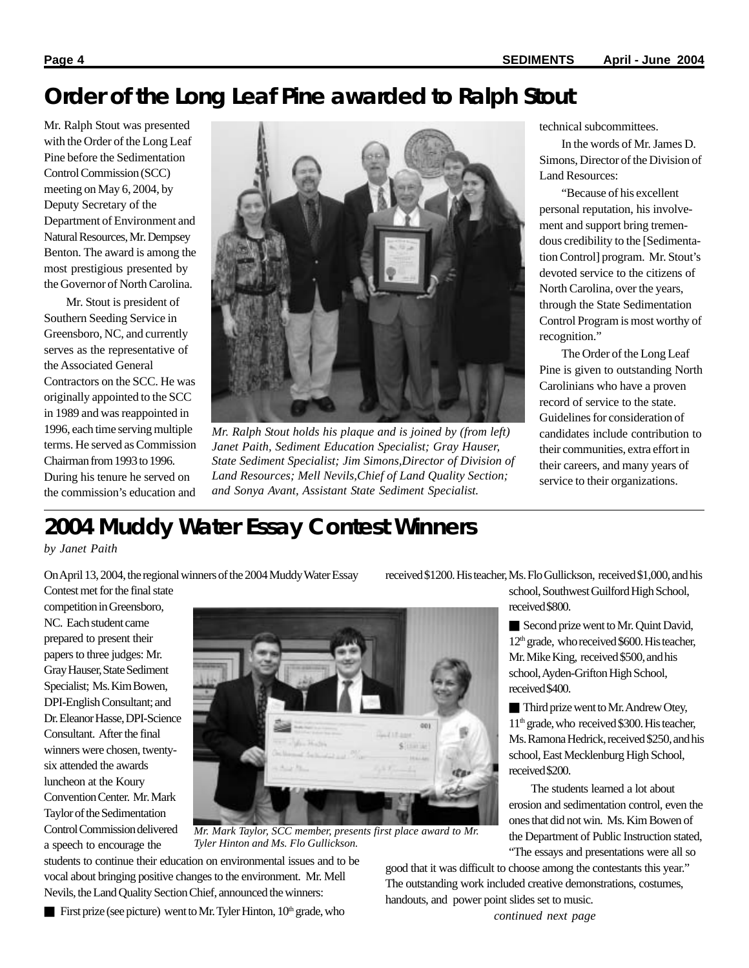## **Order of the Long Leaf Pine awarded to Ralph Stout**

Mr. Ralph Stout was presented with the Order of the Long Leaf Pine before the Sedimentation Control Commission (SCC) meeting on May 6, 2004, by Deputy Secretary of the Department of Environment and Natural Resources, Mr. Dempsey Benton. The award is among the most prestigious presented by the Governor of North Carolina.

Mr. Stout is president of Southern Seeding Service in Greensboro, NC, and currently serves as the representative of the Associated General Contractors on the SCC. He was originally appointed to the SCC in 1989 and was reappointed in 1996, each time serving multiple terms. He served as Commission Chairman from 1993 to 1996. During his tenure he served on the commission's education and



*Mr. Ralph Stout holds his plaque and is joined by (from left) Janet Paith, Sediment Education Specialist; Gray Hauser, State Sediment Specialist; Jim Simons,Director of Division of Land Resources; Mell Nevils,Chief of Land Quality Section; and Sonya Avant, Assistant State Sediment Specialist.*

technical subcommittees.

In the words of Mr. James D. Simons, Director of the Division of Land Resources:

"Because of his excellent personal reputation, his involvement and support bring tremendous credibility to the [Sedimentation Control] program. Mr. Stout's devoted service to the citizens of North Carolina, over the years, through the State Sedimentation Control Program is most worthy of recognition."

The Order of the Long Leaf Pine is given to outstanding North Carolinians who have a proven record of service to the state. Guidelines for consideration of candidates include contribution to their communities, extra effort in their careers, and many years of service to their organizations.

# **2004 Muddy Water Essay Contest Winners**

#### *by Janet Paith*

On April 13, 2004, the regional winners of the 2004 Muddy Water Essay

received \$1200. His teacher, Ms. Flo Gullickson, received \$1,000, and his

competition in Greensboro, NC. Each student came prepared to present their papers to three judges: Mr. Gray Hauser, State Sediment Specialist; Ms. Kim Bowen, DPI-English Consultant; and Dr. Eleanor Hasse, DPI-Science Consultant. After the final winners were chosen, twentysix attended the awards luncheon at the Koury Convention Center. Mr. Mark Taylor of the Sedimentation Control Commission delivered a speech to encourage the

Contest met for the final state



*Mr. Mark Taylor, SCC member, presents first place award to Mr. Tyler Hinton and Ms. Flo Gullickson.*

students to continue their education on environmental issues and to be vocal about bringing positive changes to the environment. Mr. Mell Nevils, the Land Quality Section Chief, announced the winners:

First prize (see picture) went to Mr. Tyler Hinton,  $10<sup>th</sup>$  grade, who

school, Southwest Guilford High School, received \$800.

Second prize went to Mr. Quint David, 12th grade, who received \$600. His teacher, Mr. Mike King, received \$500, and his school, Ayden-Grifton High School, received \$400.

Third prize went to Mr. Andrew Otey, 11th grade, who received \$300. His teacher, Ms. Ramona Hedrick, received \$250, and his school, East Mecklenburg High School, received \$200.

The students learned a lot about erosion and sedimentation control, even the ones that did not win. Ms. Kim Bowen of the Department of Public Instruction stated, "The essays and presentations were all so

good that it was difficult to choose among the contestants this year." The outstanding work included creative demonstrations, costumes, handouts, and power point slides set to music.

*continued next page*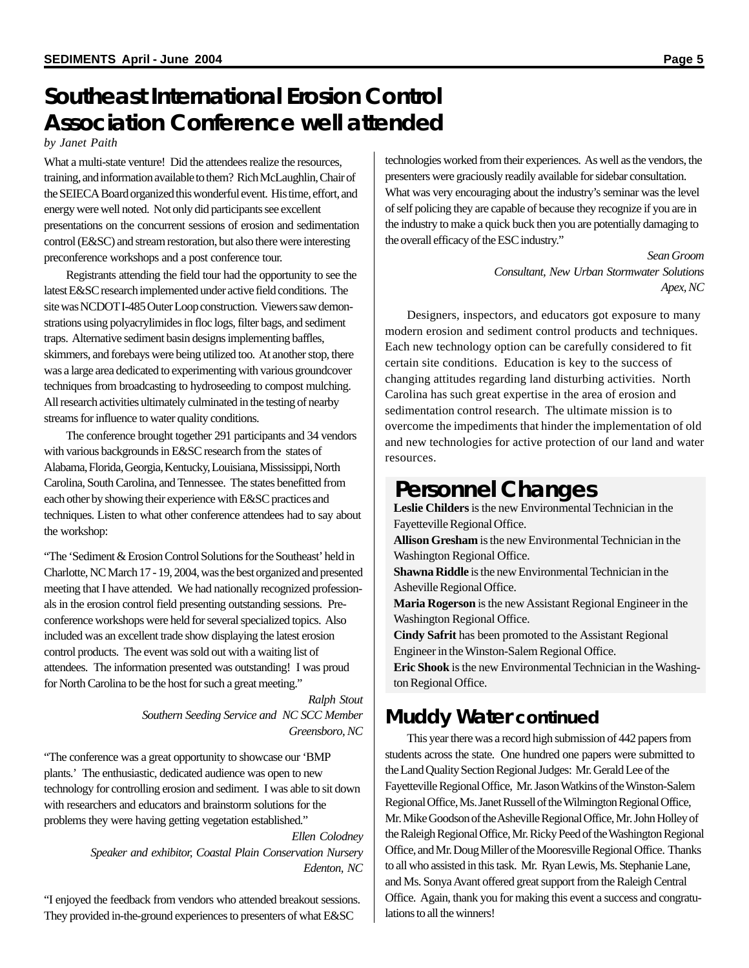# **Southeast International Erosion Control Association Conference well attended**

#### *by Janet Paith*

What a multi-state venture! Did the attendees realize the resources, training, and information available to them? Rich McLaughlin, Chair of the SEIECA Board organized this wonderful event. His time, effort, and energy were well noted. Not only did participants see excellent presentations on the concurrent sessions of erosion and sedimentation control (E&SC) and stream restoration, but also there were interesting preconference workshops and a post conference tour.

Registrants attending the field tour had the opportunity to see the latest E&SC research implemented under active field conditions. The site was NCDOT I-485 Outer Loop construction. Viewers saw demonstrations using polyacrylimides in floc logs, filter bags, and sediment traps. Alternative sediment basin designs implementing baffles, skimmers, and forebays were being utilized too. At another stop, there was a large area dedicated to experimenting with various groundcover techniques from broadcasting to hydroseeding to compost mulching. All research activities ultimately culminated in the testing of nearby streams for influence to water quality conditions.

The conference brought together 291 participants and 34 vendors with various backgrounds in E&SC research from the states of Alabama, Florida, Georgia, Kentucky, Louisiana, Mississippi, North Carolina, South Carolina, and Tennessee. The states benefitted from each other by showing their experience with E&SC practices and techniques. Listen to what other conference attendees had to say about the workshop:

"The 'Sediment & Erosion Control Solutions for the Southeast' held in Charlotte, NC March 17 - 19, 2004, was the best organized and presented meeting that I have attended. We had nationally recognized professionals in the erosion control field presenting outstanding sessions. Preconference workshops were held for several specialized topics. Also included was an excellent trade show displaying the latest erosion control products. The event was sold out with a waiting list of attendees. The information presented was outstanding! I was proud for North Carolina to be the host for such a great meeting."

> *Ralph Stout Southern Seeding Service and NC SCC Member Greensboro, NC*

"The conference was a great opportunity to showcase our 'BMP plants.' The enthusiastic, dedicated audience was open to new technology for controlling erosion and sediment. I was able to sit down with researchers and educators and brainstorm solutions for the problems they were having getting vegetation established."

> *Ellen Colodney Speaker and exhibitor, Coastal Plain Conservation Nursery Edenton, NC*

"I enjoyed the feedback from vendors who attended breakout sessions. They provided in-the-ground experiences to presenters of what E&SC

technologies worked from their experiences. As well as the vendors, the presenters were graciously readily available for sidebar consultation. What was very encouraging about the industry's seminar was the level of self policing they are capable of because they recognize if you are in the industry to make a quick buck then you are potentially damaging to the overall efficacy of the ESC industry."

> *Sean Groom Consultant, New Urban Stormwater Solutions Apex, NC*

Designers, inspectors, and educators got exposure to many modern erosion and sediment control products and techniques. Each new technology option can be carefully considered to fit certain site conditions. Education is key to the success of changing attitudes regarding land disturbing activities. North Carolina has such great expertise in the area of erosion and sedimentation control research. The ultimate mission is to overcome the impediments that hinder the implementation of old and new technologies for active protection of our land and water resources.

### **Personnel Changes**

**Leslie Childers** is the new Environmental Technician in the Fayetteville Regional Office.

**Allison Gresham** is the new Environmental Technician in the Washington Regional Office.

**Shawna Riddle** is the new Environmental Technician in the Asheville Regional Office.

**Maria Rogerson** is the new Assistant Regional Engineer in the Washington Regional Office.

**Cindy Safrit** has been promoted to the Assistant Regional Engineer in the Winston-Salem Regional Office.

**Eric Shook** is the new Environmental Technician in the Washington Regional Office.

## **Muddy Water** *continued*

This year there was a record high submission of 442 papers from students across the state. One hundred one papers were submitted to the Land Quality Section Regional Judges: Mr. Gerald Lee of the Fayetteville Regional Office, Mr. Jason Watkins of the Winston-Salem Regional Office, Ms. Janet Russell of the Wilmington Regional Office, Mr. Mike Goodson of the Asheville Regional Office, Mr. John Holley of the Raleigh Regional Office, Mr. Ricky Peed of the Washington Regional Office, and Mr. Doug Miller of the Mooresville Regional Office. Thanks to all who assisted in this task. Mr. Ryan Lewis, Ms. Stephanie Lane, and Ms. Sonya Avant offered great support from the Raleigh Central Office. Again, thank you for making this event a success and congratulations to all the winners!